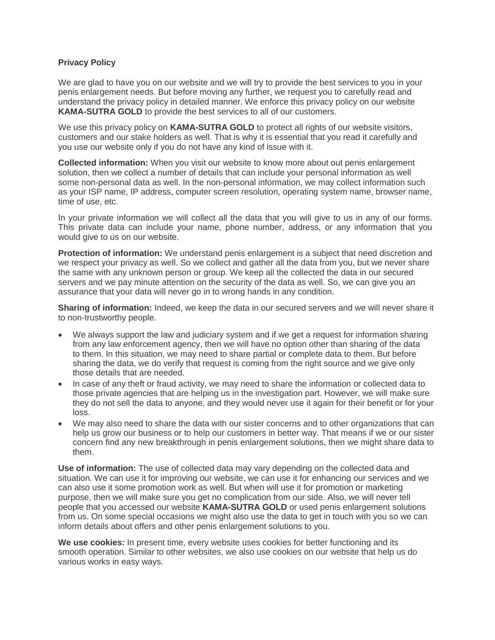## **Privacy Policy**

We are glad to have you on our website and we will try to provide the best services to you in your penis enlargement needs. But before moving any further, we request you to carefully read and understand the privacy policy in detailed manner. We enforce this privacy policy on our website **KAMA-SUTRA GOLD** to provide the best services to all of our customers.

We use this privacy policy on **KAMA-SUTRA GOLD** to protect all rights of our website visitors, customers and our stake holders as well. That is why it is essential that you read it carefully and you use our website only if you do not have any kind of issue with it.

**Collected information:** When you visit our website to know more about out penis enlargement solution, then we collect a number of details that can include your personal information as well some non-personal data as well. In the non-personal information, we may collect information such as your ISP name, IP address, computer screen resolution, operating system name, browser name, time of use, etc.

In your private information we will collect all the data that you will give to us in any of our forms. This private data can include your name, phone number, address, or any information that you would give to us on our website.

**Protection of information:** We understand penis enlargement is a subject that need discretion and we respect your privacy as well. So we collect and gather all the data from you, but we never share the same with any unknown person or group. We keep all the collected the data in our secured servers and we pay minute attention on the security of the data as well. So, we can give you an assurance that your data will never go in to wrong hands in any condition.

**Sharing of information:** Indeed, we keep the data in our secured servers and we will never share it to non-trustworthy people.

- We always support the law and judiciary system and if we get a request for information sharing from any law enforcement agency, then we will have no option other than sharing of the data to them. In this situation, we may need to share partial or complete data to them. But before sharing the data, we do verify that request is coming from the right source and we give only those details that are needed.
- In case of any theft or fraud activity, we may need to share the information or collected data to those private agencies that are helping us in the investigation part. However, we will make sure they do not sell the data to anyone, and they would never use it again for their benefit or for your loss.
- We may also need to share the data with our sister concerns and to other organizations that can help us grow our business or to help our customers in better way. That means if we or our sister concern find any new breakthrough in penis enlargement solutions, then we might share data to them.

**Use of information:** The use of collected data may vary depending on the collected data and situation. We can use it for improving our website, we can use it for enhancing our services and we can also use it some promotion work as well. But when will use it for promotion or marketing purpose, then we will make sure you get no complication from our side. Also, we will never tell people that you accessed our website **KAMA-SUTRA GOLD** or used penis enlargement solutions from us. On some special occasions we might also use the data to get in touch with you so we can inform details about offers and other penis enlargement solutions to you.

**We use cookies:** In present time, every website uses cookies for better functioning and its smooth operation. Similar to other websites, we also use cookies on our website that help us do various works in easy ways.